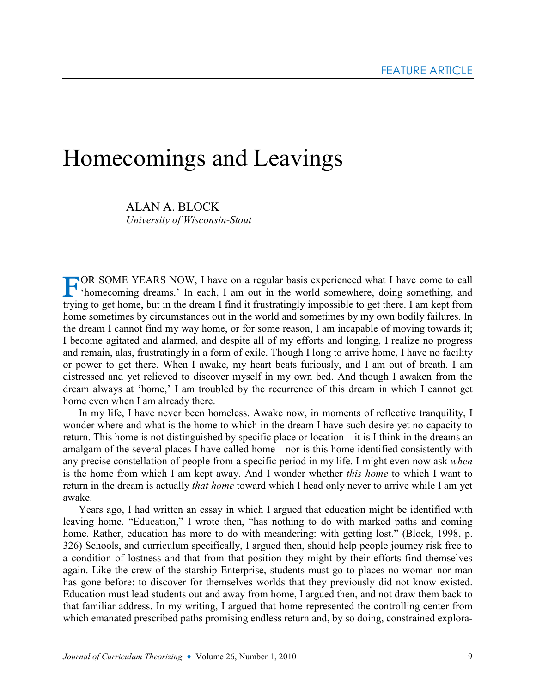# Homecomings and Leavings

ALAN A. BLOCK University of Wisconsin-Stout

TOR SOME YEARS NOW, I have on a regular basis experienced what I have come to call<br>
"homecoming dreams." In each I am sut in the set of the set of the set of the set of the set of the set of the set of the set of the set o 'homecoming dreams.' In each, I am out in the world somewhere, doing something, and trying to get home, but in the dream I find it frustratingly impossible to get there. I am kept from home sometimes by circumstances out in the world and sometimes by my own bodily failures. In the dream I cannot find my way home, or for some reason, I am incapable of moving towards it; I become agitated and alarmed, and despite all of my efforts and longing, I realize no progress and remain, alas, frustratingly in a form of exile. Though I long to arrive home, I have no facility or power to get there. When I awake, my heart beats furiously, and I am out of breath. I am distressed and yet relieved to discover myself in my own bed. And though I awaken from the dream always at 'home,' I am troubled by the recurrence of this dream in which I cannot get home even when I am already there.

In my life, I have never been homeless. Awake now, in moments of reflective tranquility, I wonder where and what is the home to which in the dream I have such desire yet no capacity to return. This home is not distinguished by specific place or location—it is I think in the dreams an amalgam of the several places I have called home—nor is this home identified consistently with any precise constellation of people from a specific period in my life. I might even now ask when is the home from which I am kept away. And I wonder whether this home to which I want to return in the dream is actually *that home* toward which I head only never to arrive while I am yet awake.

Years ago, I had written an essay in which I argued that education might be identified with leaving home. "Education," I wrote then, "has nothing to do with marked paths and coming home. Rather, education has more to do with meandering: with getting lost." (Block, 1998, p. 326) Schools, and curriculum specifically, I argued then, should help people journey risk free to a condition of lostness and that from that position they might by their efforts find themselves again. Like the crew of the starship Enterprise, students must go to places no woman nor man has gone before: to discover for themselves worlds that they previously did not know existed. Education must lead students out and away from home, I argued then, and not draw them back to that familiar address. In my writing, I argued that home represented the controlling center from which emanated prescribed paths promising endless return and, by so doing, constrained explora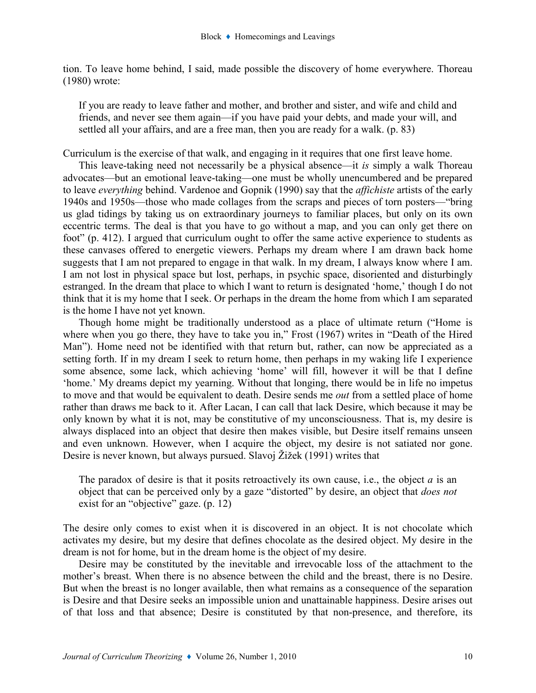tion. To leave home behind, I said, made possible the discovery of home everywhere. Thoreau (1980) wrote:

If you are ready to leave father and mother, and brother and sister, and wife and child and friends, and never see them again—if you have paid your debts, and made your will, and settled all your affairs, and are a free man, then you are ready for a walk. (p. 83)

Curriculum is the exercise of that walk, and engaging in it requires that one first leave home.

This leave-taking need not necessarily be a physical absence—it is simply a walk Thoreau advocates—but an emotional leave-taking—one must be wholly unencumbered and be prepared to leave everything behind. Vardenoe and Gopnik (1990) say that the affichiste artists of the early 1940s and 1950s—those who made collages from the scraps and pieces of torn posters—"bring us glad tidings by taking us on extraordinary journeys to familiar places, but only on its own eccentric terms. The deal is that you have to go without a map, and you can only get there on foot" (p. 412). I argued that curriculum ought to offer the same active experience to students as these canvases offered to energetic viewers. Perhaps my dream where I am drawn back home suggests that I am not prepared to engage in that walk. In my dream, I always know where I am. I am not lost in physical space but lost, perhaps, in psychic space, disoriented and disturbingly estranged. In the dream that place to which I want to return is designated 'home,' though I do not think that it is my home that I seek. Or perhaps in the dream the home from which I am separated is the home I have not yet known.

Though home might be traditionally understood as a place of ultimate return ("Home is where when you go there, they have to take you in," Frost (1967) writes in "Death of the Hired Man"). Home need not be identified with that return but, rather, can now be appreciated as a setting forth. If in my dream I seek to return home, then perhaps in my waking life I experience some absence, some lack, which achieving 'home' will fill, however it will be that I define 'home.' My dreams depict my yearning. Without that longing, there would be in life no impetus to move and that would be equivalent to death. Desire sends me *out* from a settled place of home rather than draws me back to it. After Lacan, I can call that lack Desire, which because it may be only known by what it is not, may be constitutive of my unconsciousness. That is, my desire is always displaced into an object that desire then makes visible, but Desire itself remains unseen and even unknown. However, when I acquire the object, my desire is not satiated nor gone. Desire is never known, but always pursued. Slavoj Žižek (1991) writes that

The paradox of desire is that it posits retroactively its own cause, i.e., the object  $\alpha$  is an object that can be perceived only by a gaze "distorted" by desire, an object that *does not* exist for an "objective" gaze. (p. 12)

The desire only comes to exist when it is discovered in an object. It is not chocolate which activates my desire, but my desire that defines chocolate as the desired object. My desire in the dream is not for home, but in the dream home is the object of my desire.

Desire may be constituted by the inevitable and irrevocable loss of the attachment to the mother's breast. When there is no absence between the child and the breast, there is no Desire. But when the breast is no longer available, then what remains as a consequence of the separation is Desire and that Desire seeks an impossible union and unattainable happiness. Desire arises out of that loss and that absence; Desire is constituted by that non-presence, and therefore, its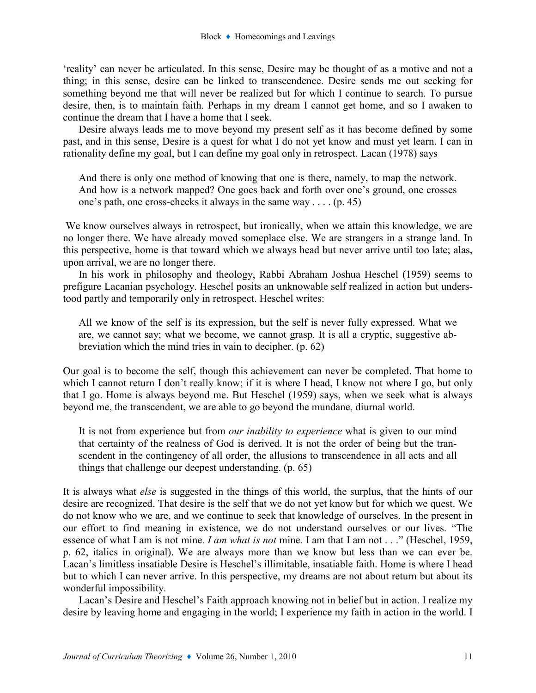'reality' can never be articulated. In this sense, Desire may be thought of as a motive and not a thing; in this sense, desire can be linked to transcendence. Desire sends me out seeking for something beyond me that will never be realized but for which I continue to search. To pursue desire, then, is to maintain faith. Perhaps in my dream I cannot get home, and so I awaken to continue the dream that I have a home that I seek.

Desire always leads me to move beyond my present self as it has become defined by some past, and in this sense, Desire is a quest for what I do not yet know and must yet learn. I can in rationality define my goal, but I can define my goal only in retrospect. Lacan (1978) says

And there is only one method of knowing that one is there, namely, to map the network. And how is a network mapped? One goes back and forth over one's ground, one crosses one's path, one cross-checks it always in the same way . . . . (p. 45)

We know ourselves always in retrospect, but ironically, when we attain this knowledge, we are no longer there. We have already moved someplace else. We are strangers in a strange land. In this perspective, home is that toward which we always head but never arrive until too late; alas, upon arrival, we are no longer there.

In his work in philosophy and theology, Rabbi Abraham Joshua Heschel (1959) seems to prefigure Lacanian psychology. Heschel posits an unknowable self realized in action but understood partly and temporarily only in retrospect. Heschel writes:

All we know of the self is its expression, but the self is never fully expressed. What we are, we cannot say; what we become, we cannot grasp. It is all a cryptic, suggestive abbreviation which the mind tries in vain to decipher. (p. 62)

Our goal is to become the self, though this achievement can never be completed. That home to which I cannot return I don't really know; if it is where I head, I know not where I go, but only that I go. Home is always beyond me. But Heschel (1959) says, when we seek what is always beyond me, the transcendent, we are able to go beyond the mundane, diurnal world.

It is not from experience but from *our inability to experience* what is given to our mind that certainty of the realness of God is derived. It is not the order of being but the transcendent in the contingency of all order, the allusions to transcendence in all acts and all things that challenge our deepest understanding. (p. 65)

It is always what else is suggested in the things of this world, the surplus, that the hints of our desire are recognized. That desire is the self that we do not yet know but for which we quest. We do not know who we are, and we continue to seek that knowledge of ourselves. In the present in our effort to find meaning in existence, we do not understand ourselves or our lives. "The essence of what I am is not mine. I am what is not mine. I am that I am not . . ." (Heschel, 1959, p. 62, italics in original). We are always more than we know but less than we can ever be. Lacan's limitless insatiable Desire is Heschel's illimitable, insatiable faith. Home is where I head but to which I can never arrive. In this perspective, my dreams are not about return but about its wonderful impossibility.

Lacan's Desire and Heschel's Faith approach knowing not in belief but in action. I realize my desire by leaving home and engaging in the world; I experience my faith in action in the world. I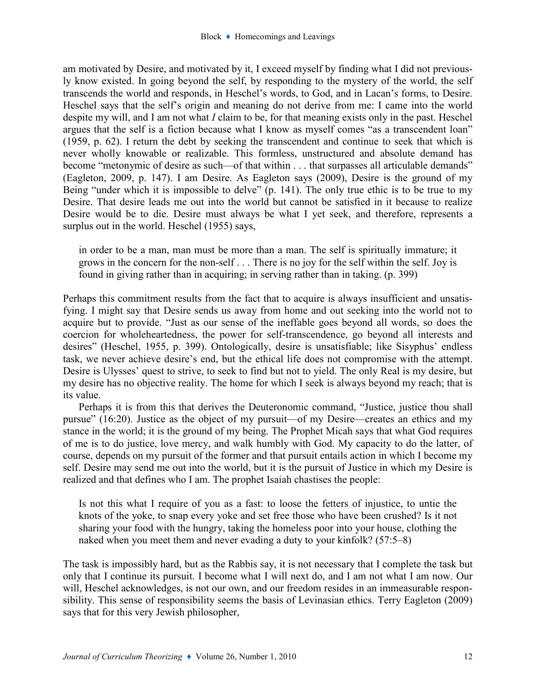am motivated by Desire, and motivated by it, I exceed myself by finding what I did not previously know existed. In going beyond the self, by responding to the mystery of the world, the self transcends the world and responds, in Heschel's words, to God, and in Lacan's forms, to Desire. Heschel says that the self's origin and meaning do not derive from me: I came into the world despite my will, and I am not what I claim to be, for that meaning exists only in the past. Heschel argues that the self is a fiction because what I know as myself comes "as a transcendent loan" (1959, p. 62). I return the debt by seeking the transcendent and continue to seek that which is never wholly knowable or realizable. This formless, unstructured and absolute demand has become "metonymic of desire as such—of that within . . . that surpasses all articulable demands" (Eagleton, 2009, p. 147). I am Desire. As Eagleton says (2009), Desire is the ground of my Being "under which it is impossible to delve" (p. 141). The only true ethic is to be true to my Desire. That desire leads me out into the world but cannot be satisfied in it because to realize Desire would be to die. Desire must always be what I yet seek, and therefore, represents a surplus out in the world. Heschel (1955) says,

in order to be a man, man must be more than a man. The self is spiritually immature; it grows in the concern for the non-self . . . There is no joy for the self within the self. Joy is found in giving rather than in acquiring; in serving rather than in taking. (p. 399)

Perhaps this commitment results from the fact that to acquire is always insufficient and unsatisfying. I might say that Desire sends us away from home and out seeking into the world not to acquire but to provide. "Just as our sense of the ineffable goes beyond all words, so does the coercion for wholeheartedness, the power for self-transcendence, go beyond all interests and desires" (Heschel, 1955, p. 399). Ontologically, desire is unsatisfiable; like Sisyphus' endless task, we never achieve desire's end, but the ethical life does not compromise with the attempt. Desire is Ulysses' quest to strive, to seek to find but not to yield. The only Real is my desire, but my desire has no objective reality. The home for which I seek is always beyond my reach; that is its value.

Perhaps it is from this that derives the Deuteronomic command, "Justice, justice thou shall pursue" (16:20). Justice as the object of my pursuit—of my Desire—creates an ethics and my stance in the world; it is the ground of my being. The Prophet Micah says that what God requires of me is to do justice, love mercy, and walk humbly with God. My capacity to do the latter, of course, depends on my pursuit of the former and that pursuit entails action in which I become my self. Desire may send me out into the world, but it is the pursuit of Justice in which my Desire is realized and that defines who I am. The prophet Isaiah chastises the people:

Is not this what I require of you as a fast: to loose the fetters of injustice, to untie the knots of the yoke, to snap every yoke and set free those who have been crushed? Is it not sharing your food with the hungry, taking the homeless poor into your house, clothing the naked when you meet them and never evading a duty to your kinfolk? (57:5–8)

The task is impossibly hard, but as the Rabbis say, it is not necessary that I complete the task but only that I continue its pursuit. I become what I will next do, and I am not what I am now. Our will, Heschel acknowledges, is not our own, and our freedom resides in an immeasurable responsibility. This sense of responsibility seems the basis of Levinasian ethics. Terry Eagleton (2009) says that for this very Jewish philosopher,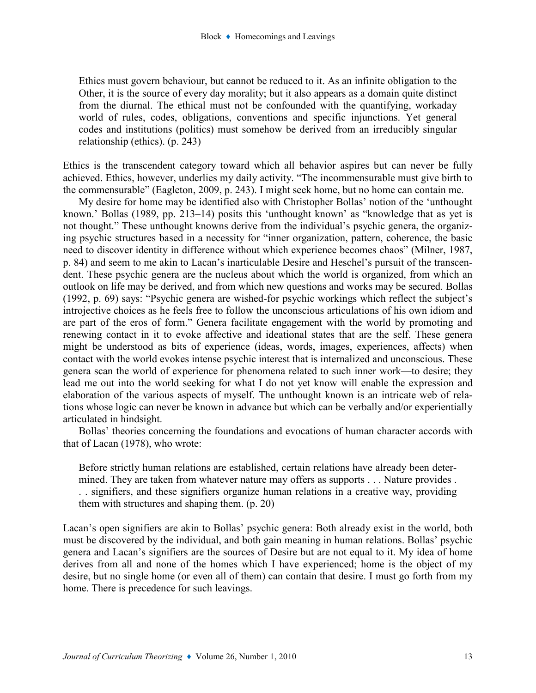Ethics must govern behaviour, but cannot be reduced to it. As an infinite obligation to the Other, it is the source of every day morality; but it also appears as a domain quite distinct from the diurnal. The ethical must not be confounded with the quantifying, workaday world of rules, codes, obligations, conventions and specific injunctions. Yet general codes and institutions (politics) must somehow be derived from an irreducibly singular relationship (ethics). (p. 243)

Ethics is the transcendent category toward which all behavior aspires but can never be fully achieved. Ethics, however, underlies my daily activity. "The incommensurable must give birth to the commensurable" (Eagleton, 2009, p. 243). I might seek home, but no home can contain me.

My desire for home may be identified also with Christopher Bollas' notion of the 'unthought known.' Bollas (1989, pp. 213–14) posits this 'unthought known' as "knowledge that as yet is not thought." These unthought knowns derive from the individual's psychic genera, the organizing psychic structures based in a necessity for "inner organization, pattern, coherence, the basic need to discover identity in difference without which experience becomes chaos" (Milner, 1987, p. 84) and seem to me akin to Lacan's inarticulable Desire and Heschel's pursuit of the transcendent. These psychic genera are the nucleus about which the world is organized, from which an outlook on life may be derived, and from which new questions and works may be secured. Bollas (1992, p. 69) says: "Psychic genera are wished-for psychic workings which reflect the subject's introjective choices as he feels free to follow the unconscious articulations of his own idiom and are part of the eros of form." Genera facilitate engagement with the world by promoting and renewing contact in it to evoke affective and ideational states that are the self. These genera might be understood as bits of experience (ideas, words, images, experiences, affects) when contact with the world evokes intense psychic interest that is internalized and unconscious. These genera scan the world of experience for phenomena related to such inner work—to desire; they lead me out into the world seeking for what I do not yet know will enable the expression and elaboration of the various aspects of myself. The unthought known is an intricate web of relations whose logic can never be known in advance but which can be verbally and/or experientially articulated in hindsight.

Bollas' theories concerning the foundations and evocations of human character accords with that of Lacan (1978), who wrote:

Before strictly human relations are established, certain relations have already been determined. They are taken from whatever nature may offers as supports . . . Nature provides . . . signifiers, and these signifiers organize human relations in a creative way, providing them with structures and shaping them. (p. 20)

Lacan's open signifiers are akin to Bollas' psychic genera: Both already exist in the world, both must be discovered by the individual, and both gain meaning in human relations. Bollas' psychic genera and Lacan's signifiers are the sources of Desire but are not equal to it. My idea of home derives from all and none of the homes which I have experienced; home is the object of my desire, but no single home (or even all of them) can contain that desire. I must go forth from my home. There is precedence for such leavings.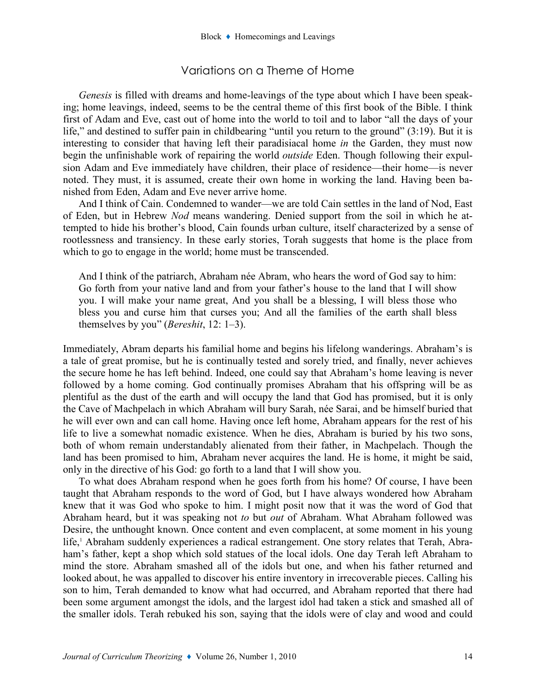# Variations on a Theme of Home

Genesis is filled with dreams and home-leavings of the type about which I have been speaking; home leavings, indeed, seems to be the central theme of this first book of the Bible. I think first of Adam and Eve, cast out of home into the world to toil and to labor "all the days of your life," and destined to suffer pain in childbearing "until you return to the ground" (3:19). But it is interesting to consider that having left their paradisiacal home in the Garden, they must now begin the unfinishable work of repairing the world *outside* Eden. Though following their expulsion Adam and Eve immediately have children, their place of residence—their home—is never noted. They must, it is assumed, create their own home in working the land. Having been banished from Eden, Adam and Eve never arrive home.

And I think of Cain. Condemned to wander—we are told Cain settles in the land of Nod, East of Eden, but in Hebrew Nod means wandering. Denied support from the soil in which he attempted to hide his brother's blood, Cain founds urban culture, itself characterized by a sense of rootlessness and transiency. In these early stories, Torah suggests that home is the place from which to go to engage in the world; home must be transcended.

And I think of the patriarch, Abraham née Abram, who hears the word of God say to him: Go forth from your native land and from your father's house to the land that I will show you. I will make your name great, And you shall be a blessing, I will bless those who bless you and curse him that curses you; And all the families of the earth shall bless themselves by you" (*Bereshit*,  $12: 1-3$ ).

Immediately, Abram departs his familial home and begins his lifelong wanderings. Abraham's is a tale of great promise, but he is continually tested and sorely tried, and finally, never achieves the secure home he has left behind. Indeed, one could say that Abraham's home leaving is never followed by a home coming. God continually promises Abraham that his offspring will be as plentiful as the dust of the earth and will occupy the land that God has promised, but it is only the Cave of Machpelach in which Abraham will bury Sarah, née Sarai, and be himself buried that he will ever own and can call home. Having once left home, Abraham appears for the rest of his life to live a somewhat nomadic existence. When he dies, Abraham is buried by his two sons, both of whom remain understandably alienated from their father, in Machpelach. Though the land has been promised to him, Abraham never acquires the land. He is home, it might be said, only in the directive of his God: go forth to a land that I will show you.

To what does Abraham respond when he goes forth from his home? Of course, I have been taught that Abraham responds to the word of God, but I have always wondered how Abraham knew that it was God who spoke to him. I might posit now that it was the word of God that Abraham heard, but it was speaking not to but out of Abraham. What Abraham followed was Desire, the unthought known. Once content and even complacent, at some moment in his young life,<sup>1</sup> Abraham suddenly experiences a radical estrangement. One story relates that Terah, Abraham's father, kept a shop which sold statues of the local idols. One day Terah left Abraham to mind the store. Abraham smashed all of the idols but one, and when his father returned and looked about, he was appalled to discover his entire inventory in irrecoverable pieces. Calling his son to him, Terah demanded to know what had occurred, and Abraham reported that there had been some argument amongst the idols, and the largest idol had taken a stick and smashed all of the smaller idols. Terah rebuked his son, saying that the idols were of clay and wood and could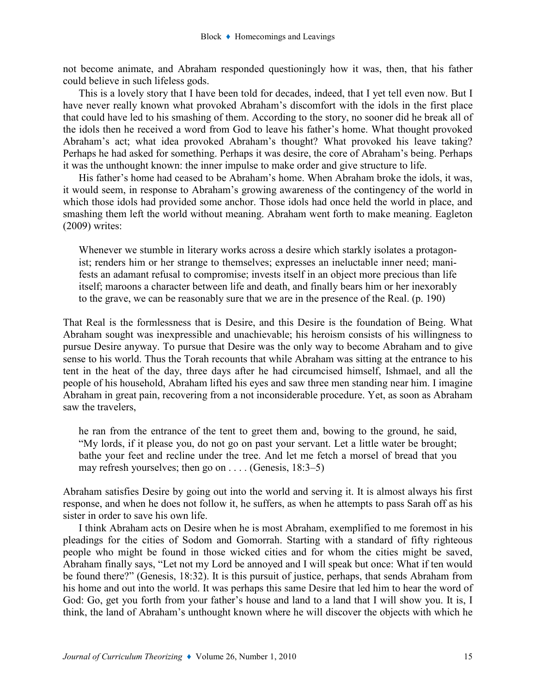not become animate, and Abraham responded questioningly how it was, then, that his father could believe in such lifeless gods.

This is a lovely story that I have been told for decades, indeed, that I yet tell even now. But I have never really known what provoked Abraham's discomfort with the idols in the first place that could have led to his smashing of them. According to the story, no sooner did he break all of the idols then he received a word from God to leave his father's home. What thought provoked Abraham's act; what idea provoked Abraham's thought? What provoked his leave taking? Perhaps he had asked for something. Perhaps it was desire, the core of Abraham's being. Perhaps it was the unthought known: the inner impulse to make order and give structure to life.

His father's home had ceased to be Abraham's home. When Abraham broke the idols, it was, it would seem, in response to Abraham's growing awareness of the contingency of the world in which those idols had provided some anchor. Those idols had once held the world in place, and smashing them left the world without meaning. Abraham went forth to make meaning. Eagleton (2009) writes:

Whenever we stumble in literary works across a desire which starkly isolates a protagonist; renders him or her strange to themselves; expresses an ineluctable inner need; manifests an adamant refusal to compromise; invests itself in an object more precious than life itself; maroons a character between life and death, and finally bears him or her inexorably to the grave, we can be reasonably sure that we are in the presence of the Real. (p. 190)

That Real is the formlessness that is Desire, and this Desire is the foundation of Being. What Abraham sought was inexpressible and unachievable; his heroism consists of his willingness to pursue Desire anyway. To pursue that Desire was the only way to become Abraham and to give sense to his world. Thus the Torah recounts that while Abraham was sitting at the entrance to his tent in the heat of the day, three days after he had circumcised himself, Ishmael, and all the people of his household, Abraham lifted his eyes and saw three men standing near him. I imagine Abraham in great pain, recovering from a not inconsiderable procedure. Yet, as soon as Abraham saw the travelers,

he ran from the entrance of the tent to greet them and, bowing to the ground, he said, "My lords, if it please you, do not go on past your servant. Let a little water be brought; bathe your feet and recline under the tree. And let me fetch a morsel of bread that you may refresh yourselves; then go on . . . . (Genesis, 18:3–5)

Abraham satisfies Desire by going out into the world and serving it. It is almost always his first response, and when he does not follow it, he suffers, as when he attempts to pass Sarah off as his sister in order to save his own life.

I think Abraham acts on Desire when he is most Abraham, exemplified to me foremost in his pleadings for the cities of Sodom and Gomorrah. Starting with a standard of fifty righteous people who might be found in those wicked cities and for whom the cities might be saved, Abraham finally says, "Let not my Lord be annoyed and I will speak but once: What if ten would be found there?" (Genesis, 18:32). It is this pursuit of justice, perhaps, that sends Abraham from his home and out into the world. It was perhaps this same Desire that led him to hear the word of God: Go, get you forth from your father's house and land to a land that I will show you. It is, I think, the land of Abraham's unthought known where he will discover the objects with which he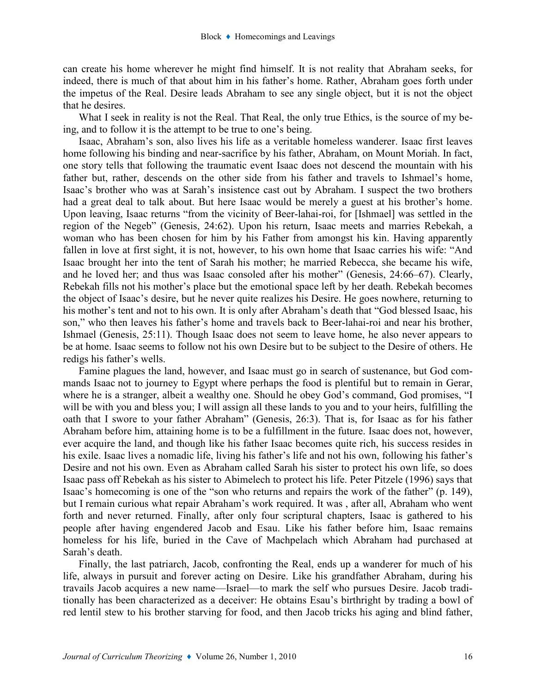can create his home wherever he might find himself. It is not reality that Abraham seeks, for indeed, there is much of that about him in his father's home. Rather, Abraham goes forth under the impetus of the Real. Desire leads Abraham to see any single object, but it is not the object that he desires.

What I seek in reality is not the Real. That Real, the only true Ethics, is the source of my being, and to follow it is the attempt to be true to one's being.

Isaac, Abraham's son, also lives his life as a veritable homeless wanderer. Isaac first leaves home following his binding and near-sacrifice by his father, Abraham, on Mount Moriah. In fact, one story tells that following the traumatic event Isaac does not descend the mountain with his father but, rather, descends on the other side from his father and travels to Ishmael's home, Isaac's brother who was at Sarah's insistence cast out by Abraham. I suspect the two brothers had a great deal to talk about. But here Isaac would be merely a guest at his brother's home. Upon leaving, Isaac returns "from the vicinity of Beer-lahai-roi, for [Ishmael] was settled in the region of the Negeb" (Genesis, 24:62). Upon his return, Isaac meets and marries Rebekah, a woman who has been chosen for him by his Father from amongst his kin. Having apparently fallen in love at first sight, it is not, however, to his own home that Isaac carries his wife: "And Isaac brought her into the tent of Sarah his mother; he married Rebecca, she became his wife, and he loved her; and thus was Isaac consoled after his mother" (Genesis, 24:66–67). Clearly, Rebekah fills not his mother's place but the emotional space left by her death. Rebekah becomes the object of Isaac's desire, but he never quite realizes his Desire. He goes nowhere, returning to his mother's tent and not to his own. It is only after Abraham's death that "God blessed Isaac, his son," who then leaves his father's home and travels back to Beer-lahai-roi and near his brother, Ishmael (Genesis, 25:11). Though Isaac does not seem to leave home, he also never appears to be at home. Isaac seems to follow not his own Desire but to be subject to the Desire of others. He redigs his father's wells.

Famine plagues the land, however, and Isaac must go in search of sustenance, but God commands Isaac not to journey to Egypt where perhaps the food is plentiful but to remain in Gerar, where he is a stranger, albeit a wealthy one. Should he obey God's command, God promises, "I will be with you and bless you; I will assign all these lands to you and to your heirs, fulfilling the oath that I swore to your father Abraham" (Genesis, 26:3). That is, for Isaac as for his father Abraham before him, attaining home is to be a fulfillment in the future. Isaac does not, however, ever acquire the land, and though like his father Isaac becomes quite rich, his success resides in his exile. Isaac lives a nomadic life, living his father's life and not his own, following his father's Desire and not his own. Even as Abraham called Sarah his sister to protect his own life, so does Isaac pass off Rebekah as his sister to Abimelech to protect his life. Peter Pitzele (1996) says that Isaac's homecoming is one of the "son who returns and repairs the work of the father" (p. 149), but I remain curious what repair Abraham's work required. It was , after all, Abraham who went forth and never returned. Finally, after only four scriptural chapters, Isaac is gathered to his people after having engendered Jacob and Esau. Like his father before him, Isaac remains homeless for his life, buried in the Cave of Machpelach which Abraham had purchased at Sarah's death.

Finally, the last patriarch, Jacob, confronting the Real, ends up a wanderer for much of his life, always in pursuit and forever acting on Desire. Like his grandfather Abraham, during his travails Jacob acquires a new name—Israel—to mark the self who pursues Desire. Jacob traditionally has been characterized as a deceiver: He obtains Esau's birthright by trading a bowl of red lentil stew to his brother starving for food, and then Jacob tricks his aging and blind father,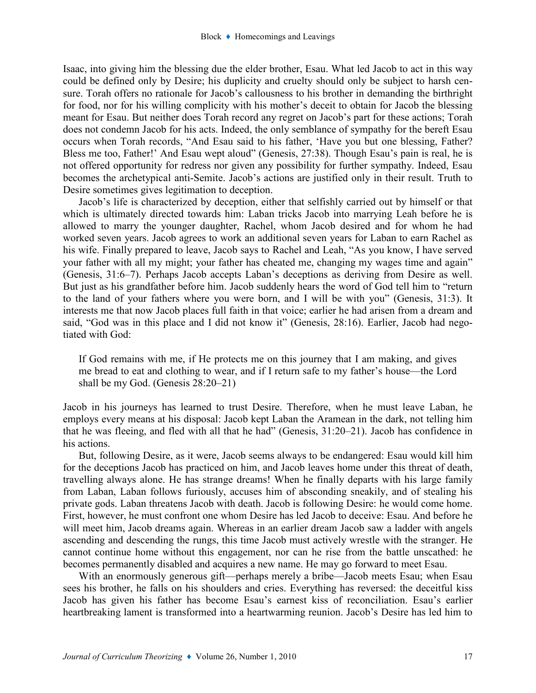Isaac, into giving him the blessing due the elder brother, Esau. What led Jacob to act in this way could be defined only by Desire; his duplicity and cruelty should only be subject to harsh censure. Torah offers no rationale for Jacob's callousness to his brother in demanding the birthright for food, nor for his willing complicity with his mother's deceit to obtain for Jacob the blessing meant for Esau. But neither does Torah record any regret on Jacob's part for these actions; Torah does not condemn Jacob for his acts. Indeed, the only semblance of sympathy for the bereft Esau occurs when Torah records, "And Esau said to his father, 'Have you but one blessing, Father? Bless me too, Father!' And Esau wept aloud" (Genesis, 27:38). Though Esau's pain is real, he is not offered opportunity for redress nor given any possibility for further sympathy. Indeed, Esau becomes the archetypical anti-Semite. Jacob's actions are justified only in their result. Truth to Desire sometimes gives legitimation to deception.

Jacob's life is characterized by deception, either that selfishly carried out by himself or that which is ultimately directed towards him: Laban tricks Jacob into marrying Leah before he is allowed to marry the younger daughter, Rachel, whom Jacob desired and for whom he had worked seven years. Jacob agrees to work an additional seven years for Laban to earn Rachel as his wife. Finally prepared to leave, Jacob says to Rachel and Leah, "As you know, I have served your father with all my might; your father has cheated me, changing my wages time and again" (Genesis, 31:6–7). Perhaps Jacob accepts Laban's deceptions as deriving from Desire as well. But just as his grandfather before him. Jacob suddenly hears the word of God tell him to "return to the land of your fathers where you were born, and I will be with you" (Genesis, 31:3). It interests me that now Jacob places full faith in that voice; earlier he had arisen from a dream and said, "God was in this place and I did not know it" (Genesis, 28:16). Earlier, Jacob had negotiated with God:

If God remains with me, if He protects me on this journey that I am making, and gives me bread to eat and clothing to wear, and if I return safe to my father's house—the Lord shall be my God. (Genesis 28:20–21)

Jacob in his journeys has learned to trust Desire. Therefore, when he must leave Laban, he employs every means at his disposal: Jacob kept Laban the Aramean in the dark, not telling him that he was fleeing, and fled with all that he had" (Genesis, 31:20–21). Jacob has confidence in his actions.

But, following Desire, as it were, Jacob seems always to be endangered: Esau would kill him for the deceptions Jacob has practiced on him, and Jacob leaves home under this threat of death, travelling always alone. He has strange dreams! When he finally departs with his large family from Laban, Laban follows furiously, accuses him of absconding sneakily, and of stealing his private gods. Laban threatens Jacob with death. Jacob is following Desire: he would come home. First, however, he must confront one whom Desire has led Jacob to deceive: Esau. And before he will meet him, Jacob dreams again. Whereas in an earlier dream Jacob saw a ladder with angels ascending and descending the rungs, this time Jacob must actively wrestle with the stranger. He cannot continue home without this engagement, nor can he rise from the battle unscathed: he becomes permanently disabled and acquires a new name. He may go forward to meet Esau.

With an enormously generous gift—perhaps merely a bribe—Jacob meets Esau; when Esau sees his brother, he falls on his shoulders and cries. Everything has reversed: the deceitful kiss Jacob has given his father has become Esau's earnest kiss of reconciliation. Esau's earlier heartbreaking lament is transformed into a heartwarming reunion. Jacob's Desire has led him to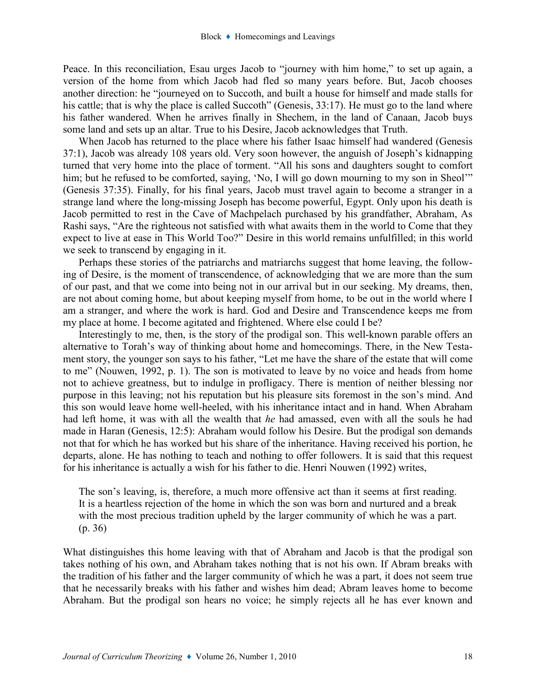Peace. In this reconciliation, Esau urges Jacob to "journey with him home," to set up again, a version of the home from which Jacob had fled so many years before. But, Jacob chooses another direction: he "journeyed on to Succoth, and built a house for himself and made stalls for his cattle; that is why the place is called Succoth" (Genesis, 33:17). He must go to the land where his father wandered. When he arrives finally in Shechem, in the land of Canaan, Jacob buys some land and sets up an altar. True to his Desire, Jacob acknowledges that Truth.

When Jacob has returned to the place where his father Isaac himself had wandered (Genesis 37:1), Jacob was already 108 years old. Very soon however, the anguish of Joseph's kidnapping turned that very home into the place of torment. "All his sons and daughters sought to comfort him; but he refused to be comforted, saying, 'No, I will go down mourning to my son in Sheol'" (Genesis 37:35). Finally, for his final years, Jacob must travel again to become a stranger in a strange land where the long-missing Joseph has become powerful, Egypt. Only upon his death is Jacob permitted to rest in the Cave of Machpelach purchased by his grandfather, Abraham, As Rashi says, "Are the righteous not satisfied with what awaits them in the world to Come that they expect to live at ease in This World Too?" Desire in this world remains unfulfilled; in this world we seek to transcend by engaging in it.

Perhaps these stories of the patriarchs and matriarchs suggest that home leaving, the following of Desire, is the moment of transcendence, of acknowledging that we are more than the sum of our past, and that we come into being not in our arrival but in our seeking. My dreams, then, are not about coming home, but about keeping myself from home, to be out in the world where I am a stranger, and where the work is hard. God and Desire and Transcendence keeps me from my place at home. I become agitated and frightened. Where else could I be?

Interestingly to me, then, is the story of the prodigal son. This well-known parable offers an alternative to Torah's way of thinking about home and homecomings. There, in the New Testament story, the younger son says to his father, "Let me have the share of the estate that will come to me" (Nouwen, 1992, p. 1). The son is motivated to leave by no voice and heads from home not to achieve greatness, but to indulge in profligacy. There is mention of neither blessing nor purpose in this leaving; not his reputation but his pleasure sits foremost in the son's mind. And this son would leave home well-heeled, with his inheritance intact and in hand. When Abraham had left home, it was with all the wealth that he had amassed, even with all the souls he had made in Haran (Genesis, 12:5): Abraham would follow his Desire. But the prodigal son demands not that for which he has worked but his share of the inheritance. Having received his portion, he departs, alone. He has nothing to teach and nothing to offer followers. It is said that this request for his inheritance is actually a wish for his father to die. Henri Nouwen (1992) writes,

The son's leaving, is, therefore, a much more offensive act than it seems at first reading. It is a heartless rejection of the home in which the son was born and nurtured and a break with the most precious tradition upheld by the larger community of which he was a part. (p. 36)

What distinguishes this home leaving with that of Abraham and Jacob is that the prodigal son takes nothing of his own, and Abraham takes nothing that is not his own. If Abram breaks with the tradition of his father and the larger community of which he was a part, it does not seem true that he necessarily breaks with his father and wishes him dead; Abram leaves home to become Abraham. But the prodigal son hears no voice; he simply rejects all he has ever known and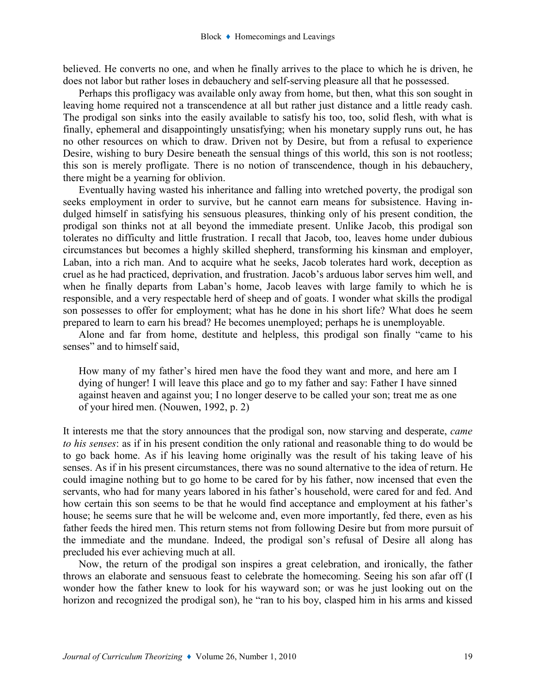believed. He converts no one, and when he finally arrives to the place to which he is driven, he does not labor but rather loses in debauchery and self-serving pleasure all that he possessed.

Perhaps this profligacy was available only away from home, but then, what this son sought in leaving home required not a transcendence at all but rather just distance and a little ready cash. The prodigal son sinks into the easily available to satisfy his too, too, solid flesh, with what is finally, ephemeral and disappointingly unsatisfying; when his monetary supply runs out, he has no other resources on which to draw. Driven not by Desire, but from a refusal to experience Desire, wishing to bury Desire beneath the sensual things of this world, this son is not rootless; this son is merely profligate. There is no notion of transcendence, though in his debauchery, there might be a yearning for oblivion.

Eventually having wasted his inheritance and falling into wretched poverty, the prodigal son seeks employment in order to survive, but he cannot earn means for subsistence. Having indulged himself in satisfying his sensuous pleasures, thinking only of his present condition, the prodigal son thinks not at all beyond the immediate present. Unlike Jacob, this prodigal son tolerates no difficulty and little frustration. I recall that Jacob, too, leaves home under dubious circumstances but becomes a highly skilled shepherd, transforming his kinsman and employer, Laban, into a rich man. And to acquire what he seeks, Jacob tolerates hard work, deception as cruel as he had practiced, deprivation, and frustration. Jacob's arduous labor serves him well, and when he finally departs from Laban's home, Jacob leaves with large family to which he is responsible, and a very respectable herd of sheep and of goats. I wonder what skills the prodigal son possesses to offer for employment; what has he done in his short life? What does he seem prepared to learn to earn his bread? He becomes unemployed; perhaps he is unemployable.

Alone and far from home, destitute and helpless, this prodigal son finally "came to his senses" and to himself said,

How many of my father's hired men have the food they want and more, and here am I dying of hunger! I will leave this place and go to my father and say: Father I have sinned against heaven and against you; I no longer deserve to be called your son; treat me as one of your hired men. (Nouwen, 1992, p. 2)

It interests me that the story announces that the prodigal son, now starving and desperate, came to his senses: as if in his present condition the only rational and reasonable thing to do would be to go back home. As if his leaving home originally was the result of his taking leave of his senses. As if in his present circumstances, there was no sound alternative to the idea of return. He could imagine nothing but to go home to be cared for by his father, now incensed that even the servants, who had for many years labored in his father's household, were cared for and fed. And how certain this son seems to be that he would find acceptance and employment at his father's house; he seems sure that he will be welcome and, even more importantly, fed there, even as his father feeds the hired men. This return stems not from following Desire but from more pursuit of the immediate and the mundane. Indeed, the prodigal son's refusal of Desire all along has precluded his ever achieving much at all.

Now, the return of the prodigal son inspires a great celebration, and ironically, the father throws an elaborate and sensuous feast to celebrate the homecoming. Seeing his son afar off (I wonder how the father knew to look for his wayward son; or was he just looking out on the horizon and recognized the prodigal son), he "ran to his boy, clasped him in his arms and kissed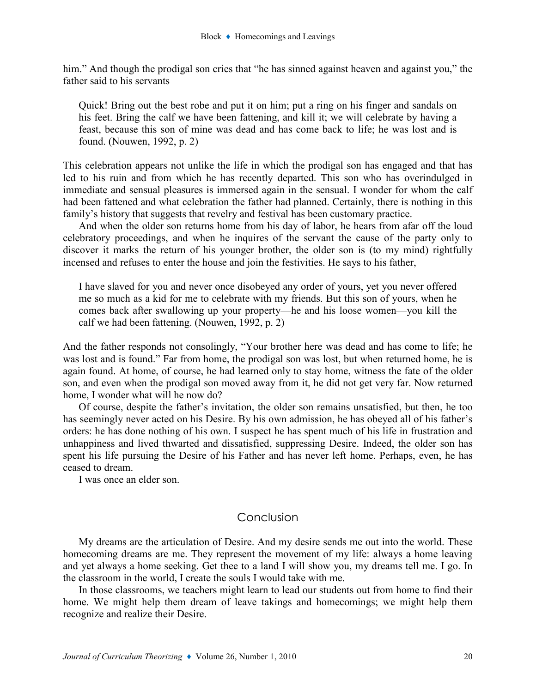him." And though the prodigal son cries that "he has sinned against heaven and against you," the father said to his servants

Quick! Bring out the best robe and put it on him; put a ring on his finger and sandals on his feet. Bring the calf we have been fattening, and kill it; we will celebrate by having a feast, because this son of mine was dead and has come back to life; he was lost and is found. (Nouwen, 1992, p. 2)

This celebration appears not unlike the life in which the prodigal son has engaged and that has led to his ruin and from which he has recently departed. This son who has overindulged in immediate and sensual pleasures is immersed again in the sensual. I wonder for whom the calf had been fattened and what celebration the father had planned. Certainly, there is nothing in this family's history that suggests that revelry and festival has been customary practice.

And when the older son returns home from his day of labor, he hears from afar off the loud celebratory proceedings, and when he inquires of the servant the cause of the party only to discover it marks the return of his younger brother, the older son is (to my mind) rightfully incensed and refuses to enter the house and join the festivities. He says to his father,

I have slaved for you and never once disobeyed any order of yours, yet you never offered me so much as a kid for me to celebrate with my friends. But this son of yours, when he comes back after swallowing up your property—he and his loose women—you kill the calf we had been fattening. (Nouwen, 1992, p. 2)

And the father responds not consolingly, "Your brother here was dead and has come to life; he was lost and is found." Far from home, the prodigal son was lost, but when returned home, he is again found. At home, of course, he had learned only to stay home, witness the fate of the older son, and even when the prodigal son moved away from it, he did not get very far. Now returned home, I wonder what will he now do?

Of course, despite the father's invitation, the older son remains unsatisfied, but then, he too has seemingly never acted on his Desire. By his own admission, he has obeyed all of his father's orders: he has done nothing of his own. I suspect he has spent much of his life in frustration and unhappiness and lived thwarted and dissatisfied, suppressing Desire. Indeed, the older son has spent his life pursuing the Desire of his Father and has never left home. Perhaps, even, he has ceased to dream.

I was once an elder son.

### Conclusion

My dreams are the articulation of Desire. And my desire sends me out into the world. These homecoming dreams are me. They represent the movement of my life: always a home leaving and yet always a home seeking. Get thee to a land I will show you, my dreams tell me. I go. In the classroom in the world, I create the souls I would take with me.

In those classrooms, we teachers might learn to lead our students out from home to find their home. We might help them dream of leave takings and homecomings; we might help them recognize and realize their Desire.